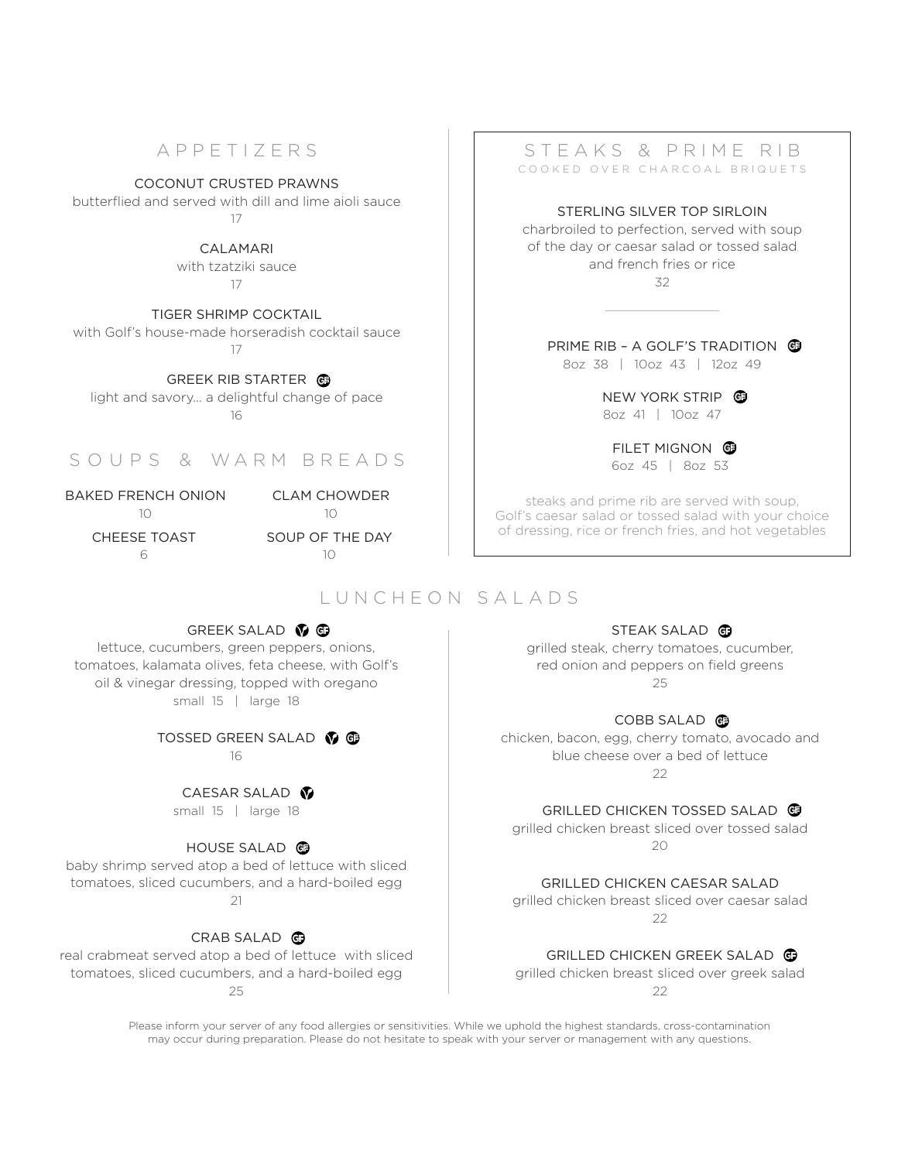# APPETIZERS

COCONUT CRUSTED PRAWNS

butterflied and served with dill and lime aioli sauce 17

> CALAMARI with tzatziki sauce 17

TIGER SHRIMP COCKTAIL with Golf's house-made horseradish cocktail sauce 17

GREEK RIB STARTER **G** light and savory... a delightful change of pace 16

# S O U P S & WARM BREADS

BAKED FRENCH ONION  $1<sup>0</sup>$ 

CLAM CHOWDER

 $1<sup>0</sup>$ SOUP OF THE DAY

 $1<sup>0</sup>$ 

CHEESE TOAST 6

# LUNCHEON SALADS

### STEAKS & PRIME RIB COOKED OVER CHARCOAL BRIQUETS

STERLING SILVER TOP SIRLOIN charbroiled to perfection, served with soup of the day or caesar salad or tossed salad and french fries or rice 32

PRIME RIB - A GOLF'S TRADITION G

8oz 38 | 10oz 43 | 12oz 49

NEW YORK STRIP G 8oz 41 | 10oz 47

FILET MIGNON G 6oz 45 | 8oz 53

steaks and prime rib are served with soup, Golf's caesar salad or tossed salad with your choice of dressing, rice or french fries, and hot vegetables

## STEAK SALAD

grilled steak, cherry tomatoes, cucumber, red onion and peppers on field greens 25

### COBB SALAD<sup>G</sup>

chicken, bacon, egg, cherry tomato, avocado and blue cheese over a bed of lettuce  $22$ 

GRILLED CHICKEN TOSSED SALAD

grilled chicken breast sliced over tossed salad  $20$ 

GRILLED CHICKEN CAESAR SALAD grilled chicken breast sliced over caesar salad

 $22$ 

### GRILLED CHICKEN GREEK SALAD

grilled chicken breast sliced over greek salad 22

tomatoes, sliced cucumbers, and a hard-boiled egg 25

> Please inform your server of any food allergies or sensitivities. While we uphold the highest standards, cross-contamination may occur during preparation. Please do not hesitate to speak with your server or management with any questions.

## GREEK SALAD  $\bigcirc$  G

lettuce, cucumbers, green peppers, onions, tomatoes, kalamata olives, feta cheese, with Golf's oil & vinegar dressing, topped with oregano small 15 | large 18

# TOSSED GREEN SALAD **M**G

16

CAESAR SALAD<sup>®</sup>

## HOUSE SALAD

baby shrimp served atop a bed of lettuce with sliced tomatoes, sliced cucumbers, and a hard-boiled egg  $21$ 

### CRAB SALAD **G** real crabmeat served atop a bed of lettuce with sliced

small 15 | large 18